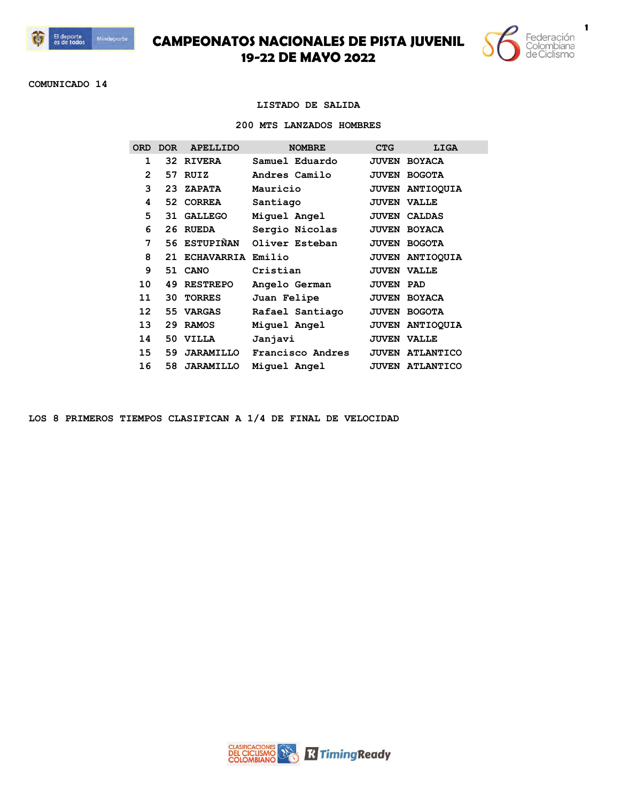



**COMUNICADO 14**

### **LISTADO DE SALIDA**

#### **200 MTS LANZADOS HOMBRES**

| ORD             | <b>DOR</b> | <b>APELLIDO</b>      | <b>NOMBRE</b>    | <b>CTG</b>       | LIGA                   |
|-----------------|------------|----------------------|------------------|------------------|------------------------|
| 1               |            | 32 RIVERA            | Samuel Eduardo   |                  | <b>JUVEN BOYACA</b>    |
| $\overline{2}$  | 57         | RUIZ                 | Andres Camilo    |                  | <b>JUVEN BOGOTA</b>    |
| 3               | 23         | <b>ZAPATA</b>        | Mauricio         |                  | JUVEN ANTIOQUIA        |
| 4               |            | 52 CORREA            | Santiago         |                  | <b>JUVEN VALLE</b>     |
| 5               | 31         | GALLEGO              | Miguel Angel     |                  | <b>JUVEN CALDAS</b>    |
| 6               | 26         | <b>RUEDA</b>         | Sergio Nicolas   |                  | <b>JUVEN BOYACA</b>    |
| 7               |            | 56 ESTUPIÑAN         | Oliver Esteban   |                  | <b>JUVEN BOGOTA</b>    |
| 8               |            | 21 ECHAVARRIA Emilio |                  |                  | <b>JUVEN ANTIOOUIA</b> |
| 9               |            | 51 CANO              | Cristian         |                  | <b>JUVEN VALLE</b>     |
| 10              | 49         | <b>RESTREPO</b>      | Angelo German    | <b>JUVEN PAD</b> |                        |
| 11              | 30         | <b>TORRES</b>        | Juan Felipe      |                  | <b>JUVEN BOYACA</b>    |
| 12 <sup>2</sup> | 55         | VARGAS               | Rafael Santiago  |                  | <b>JUVEN BOGOTA</b>    |
| 13              | 29         | <b>RAMOS</b>         | Miquel Angel     |                  | JUVEN ANTIOQUIA        |
| 14              |            | 50 VILLA             | Janjavi          |                  | <b>JUVEN VALLE</b>     |
| 15              | 59         | <b>JARAMILLO</b>     | Francisco Andres |                  | <b>JUVEN ATLANTICO</b> |
| 16              | 58         | <b>JARAMILLO</b>     | Miquel Angel     | <b>JUVEN</b>     | <b>ATLANTICO</b>       |
|                 |            |                      |                  |                  |                        |

**LOS 8 PRIMEROS TIEMPOS CLASIFICAN A 1/4 DE FINAL DE VELOCIDAD**

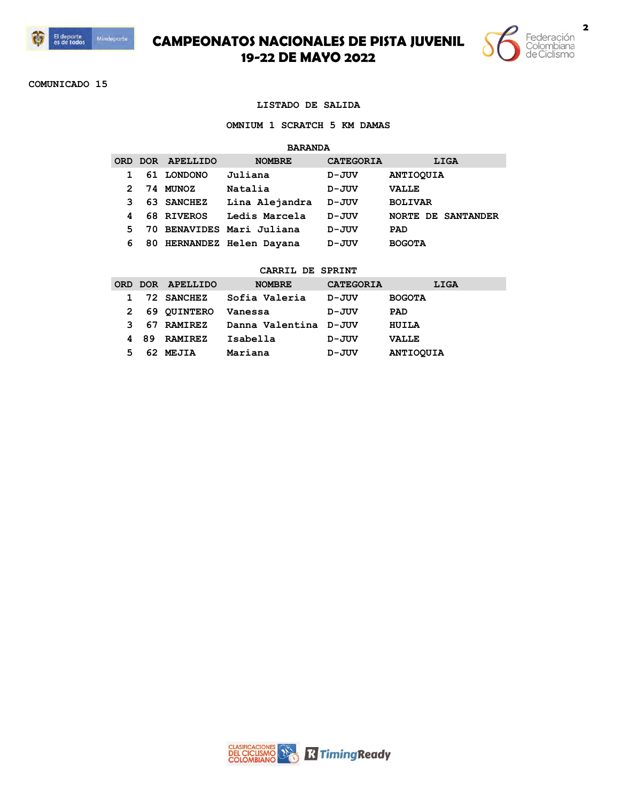



**COMUNICADO 15**

#### **LISTADO DE SALIDA**

**OMNIUM 1 SCRATCH 5 KM DAMAS**

#### **BARANDA**

|    |    | ORD DOR APELLIDO | <b>NOMBRE</b>             | <b>CATEGORIA</b> | LIGA                      |
|----|----|------------------|---------------------------|------------------|---------------------------|
|    | 61 | <b>LONDONO</b>   | Juliana                   | D-JUV            | <b>ANTIOQUIA</b>          |
| 2  | 74 | MUNOZ            | Natalia                   | D-JUV            | <b>VALLE</b>              |
| 3  |    | 63 SANCHEZ       | Lina Alejandra            | D-JUV            | <b>BOLIVAR</b>            |
| 4  |    | 68 RIVEROS       | Ledis Marcela             | D-JUV            | <b>NORTE DE SANTANDER</b> |
| 5. |    |                  | 70 BENAVIDES Mari Juliana | D-JUV            | PAD                       |
| 6  |    |                  | 80 HERNANDEZ Helen Dayana | D-JUV            | <b>BOGOTA</b>             |

| <b>ORD</b> |     | DOR APELLIDO   | <b>NOMBRE</b>         | <b>CATEGORIA</b> | LIGA             |
|------------|-----|----------------|-----------------------|------------------|------------------|
|            |     | 72 SANCHEZ     | Sofia Valeria         | D-JUV            | <b>BOGOTA</b>    |
|            |     | 69 QUINTERO    | Vanessa               | D-JUV            | PAD              |
|            |     | 67 RAMIREZ     | Danna Valentina D-JUV |                  | HUILA            |
|            | -89 | <b>RAMIREZ</b> | Isabella              | D-JUV            | <b>VALLE</b>     |
| 5          |     | 62 MEJIA       | Mariana               | D-JUV            | <b>ANTIOQUIA</b> |

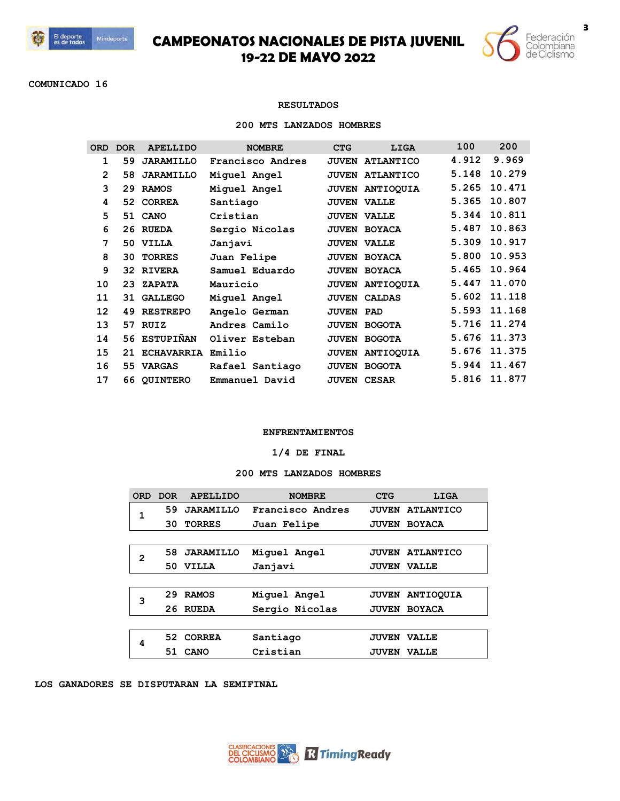



**COMUNICADO 16**

## **RESULTADOS**

#### **200 MTS LANZADOS HOMBRES**

| <b>ORD</b>   | <b>DOR</b> | <b>APELLIDO</b>   | <b>NOMBRE</b>    | <b>CTG</b>       | LIGA                | 100   | 200    |
|--------------|------------|-------------------|------------------|------------------|---------------------|-------|--------|
| 1            | 59         | <b>JARAMILLO</b>  | Francisco Andres | <b>JUVEN</b>     | <b>ATLANTICO</b>    | 4.912 | 9.969  |
| $\mathbf{2}$ | 58         | <b>JARAMILLO</b>  | Miquel Angel     | <b>JUVEN</b>     | <b>ATLANTICO</b>    | 5.148 | 10.279 |
| 3            | 29         | <b>RAMOS</b>      | Miquel Angel     |                  | JUVEN ANTIOQUIA     | 5.265 | 10.471 |
| 4            | 52         | <b>CORREA</b>     | Santiago         |                  | <b>JUVEN VALLE</b>  | 5.365 | 10.807 |
| 5            |            | 51 CANO           | Cristian         |                  | <b>JUVEN VALLE</b>  | 5.344 | 10.811 |
| 6            |            | 26 RUEDA          | Sergio Nicolas   |                  | <b>JUVEN BOYACA</b> | 5.487 | 10.863 |
| 7            | 50         | VILLA             | Janjavi          |                  | <b>JUVEN VALLE</b>  | 5.309 | 10.917 |
| 8            | 30         | <b>TORRES</b>     | Juan Felipe      |                  | <b>JUVEN BOYACA</b> | 5.800 | 10.953 |
| 9            |            | 32 RIVERA         | Samuel Eduardo   |                  | <b>JUVEN BOYACA</b> | 5.465 | 10.964 |
| 10           | 23         | <b>ZAPATA</b>     | Mauricio         |                  | JUVEN ANTIOQUIA     | 5.447 | 11.070 |
| 11           | 31         | <b>GALLEGO</b>    | Miquel Angel     | <b>JUVEN</b>     | <b>CALDAS</b>       | 5.602 | 11.118 |
| 12           | 49         | <b>RESTREPO</b>   | Angelo German    | <b>JUVEN PAD</b> |                     | 5.593 | 11.168 |
| 13           | 57.        | RUIZ              | Andres Camilo    | <b>JUVEN</b>     | <b>BOGOTA</b>       | 5.716 | 11.274 |
| 14           | 56         | <b>ESTUPIÑAN</b>  | Oliver Esteban   | <b>JUVEN</b>     | <b>BOGOTA</b>       | 5.676 | 11.373 |
| 15           | 21         | <b>ECHAVARRIA</b> | Emilio           | <b>JUVEN</b>     | <b>ANTIOOUIA</b>    | 5.676 | 11.375 |
| 16           | 55         | <b>VARGAS</b>     | Rafael Santiago  | <b>JUVEN</b>     | <b>BOGOTA</b>       | 5.944 | 11.467 |
| 17           | 66         | <b>QUINTERO</b>   | Emmanuel David   |                  | <b>JUVEN CESAR</b>  | 5.816 | 11.877 |

### **ENFRENTAMIENTOS**

## **1/4 DE FINAL**

### **200 MTS LANZADOS HOMBRES**

| <b>ORD</b> | DOR. | <b>APELLIDO</b>  | <b>NOMBRE</b>    | <b>CTG</b>   | LIGA             |
|------------|------|------------------|------------------|--------------|------------------|
| 1          | 59   | <b>JARAMILLO</b> | Francisco Andres | <b>JUVEN</b> | <b>ATLANTICO</b> |
|            | 30   | <b>TORRES</b>    | Juan Felipe      | <b>JUVEN</b> | <b>BOYACA</b>    |
|            |      |                  |                  |              |                  |
| 2          | 58.  | <b>JARAMILLO</b> | Miquel Angel     | <b>JUVEN</b> | <b>ATLANTICO</b> |
|            | 50   | <b>VILLA</b>     | Janjavi          | <b>JUVEN</b> | <b>VALLE</b>     |
|            |      |                  |                  |              |                  |
| 3          | 29   | <b>RAMOS</b>     | Miquel Angel     | <b>JUVEN</b> | <b>ANTIOOUIA</b> |
|            | 26   | <b>RUEDA</b>     | Sergio Nicolas   | <b>JUVEN</b> | <b>BOYACA</b>    |
|            |      |                  |                  |              |                  |
| 4          | 52.  | <b>CORREA</b>    | Santiago         | <b>JUVEN</b> | <b>VALLE</b>     |
|            | 51   | CANO             | Cristian         | <b>JUVEN</b> | <b>VALLE</b>     |

### **LOS GANADORES SE DISPUTARAN LA SEMIFINAL**

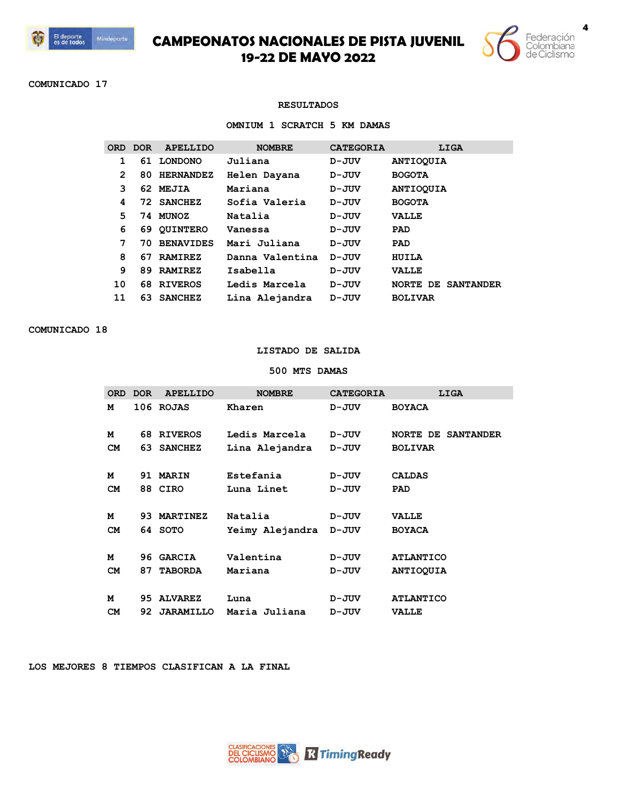



**COMUNICADO 17**

### **RESULTADOS**

**OMNIUM 1 SCRATCH 5 KM DAMAS**

|    | ORD DOR | APELLIDO         | <b>NOMBRE</b>   | <b>CATEGORIA</b> | LIGA                      |
|----|---------|------------------|-----------------|------------------|---------------------------|
|    |         | 61 LONDONO       | Juliana         | D-JUV            | <b>ANTIOQUIA</b>          |
| 2  | 80      | <b>HERNANDEZ</b> | Helen Dayana    | D-JUV            | <b>BOGOTA</b>             |
| 3  |         | 62 MEJIA         | Mariana         | D-JUV            | <b>ANTIOOUIA</b>          |
| 4  |         | 72 SANCHEZ       | Sofia Valeria   | D-JUV            | <b>BOGOTA</b>             |
| 5  | 74      | <b>MUNOZ</b>     | Natalia         | D-JUV            | <b>VALLE</b>              |
| 6  |         | 69 QUINTERO      | Vanessa         | D-JUV            | PAD                       |
| 7  | 70.     | <b>BENAVIDES</b> | Mari Juliana    | D-JUV            | PAD                       |
| 8  | 67      | <b>RAMIREZ</b>   | Danna Valentina | D-JUV            | HUILA                     |
| 9  | 89.     | <b>RAMIREZ</b>   | Isabella        | D-JUV            | <b>VALLE</b>              |
| 10 |         | 68 RIVEROS       | Ledis Marcela   | $D - JUV$        | <b>NORTE DE SANTANDER</b> |
| 11 | 63.     | <b>SANCHEZ</b>   | Lina Alejandra  | D-JUV            | <b>BOLIVAR</b>            |

**COMUNICADO 18**

## **LISTADO DE SALIDA**

**500 MTS DAMAS**

| <b>ORD</b> | <b>DOR</b> | <b>APELLIDO</b> | <b>NOMBRE</b>   | <b>CATEGORIA</b> | LIGA                      |
|------------|------------|-----------------|-----------------|------------------|---------------------------|
| м          |            | 106 ROJAS       | Kharen          | D-JUV            | <b>BOYACA</b>             |
|            |            |                 |                 |                  |                           |
| м          |            | 68 RIVEROS      | Ledis Marcela   | $D - JUV$        | <b>NORTE DE SANTANDER</b> |
| <b>CM</b>  |            | 63 SANCHEZ      | Lina Alejandra  | D-JUV            | <b>BOLIVAR</b>            |
|            |            |                 |                 |                  |                           |
| м          |            | 91 MARIN        | Estefania       | D-JUV            | <b>CALDAS</b>             |
| CM         |            | 88 CIRO         | Luna Linet      | D-JUV            | PAD                       |
|            |            |                 |                 |                  |                           |
| м          |            | 93 MARTINEZ     | Natalia         | D-JUV            | <b>VALLE</b>              |
| <b>CM</b>  |            | 64 SOTO         | Yeimy Alejandra | $D - JUV$        | <b>BOYACA</b>             |
|            |            |                 |                 |                  |                           |
| м          |            | 96 GARCIA       | Valentina       | D-JUV            | <b>ATLANTICO</b>          |
| <b>CM</b>  | 87         | <b>TABORDA</b>  | Mariana         | $D - JUV$        | <b>ANTIOQUIA</b>          |
|            |            |                 |                 |                  |                           |
| м          | 95.        | <b>ALVAREZ</b>  | Luna            | $D - JUV$        | <b>ATLANTICO</b>          |
| <b>CM</b>  |            | 92 JARAMILLO    | Maria Juliana   | D-JUV            | <b>VALLE</b>              |

**LOS MEJORES 8 TIEMPOS CLASIFICAN A LA FINAL**

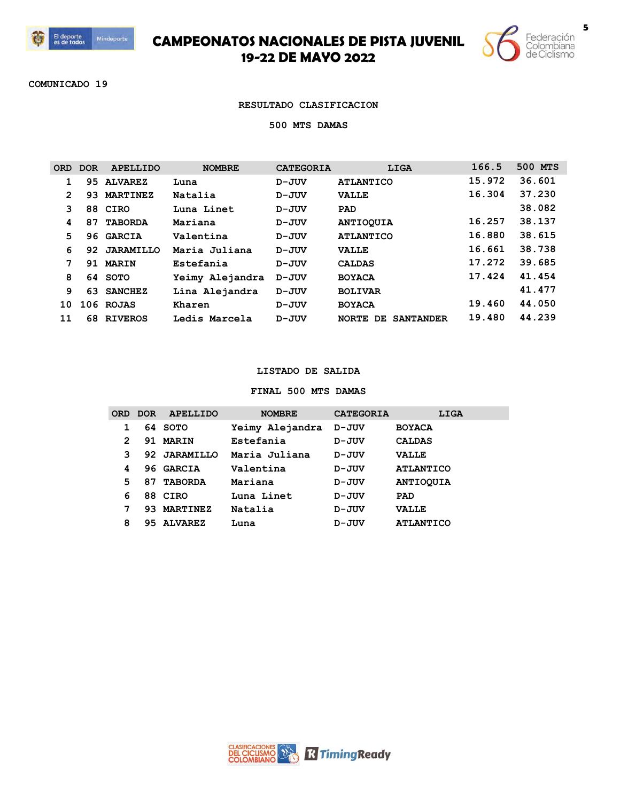

I

## **CAMPEONATOS NACIONALES DE PISTA JUVENIL 19-22 DE MAYO 2022**



**COMUNICADO 19**

#### **RESULTADO CLASIFICACION**

**500 MTS DAMAS**

| ORD            | <b>DOR</b> | <b>APELLIDO</b>  | <b>NOMBRE</b>   | <b>CATEGORIA</b> | LIGA                                   | 166.5  | 500 MTS |
|----------------|------------|------------------|-----------------|------------------|----------------------------------------|--------|---------|
|                | 95.        | <b>ALVAREZ</b>   | Luna            | D-JUV            | <b>ATLANTICO</b>                       | 15.972 | 36.601  |
| $\overline{2}$ | 93         | <b>MARTINEZ</b>  | Natalia         | $D - JUV$        | <b>VALLE</b>                           | 16.304 | 37.230  |
| 3              |            | 88 CIRO          | Luna Linet      | D-JUV            | PAD                                    |        | 38.082  |
| 4              | 87         | <b>TABORDA</b>   | Mariana         | D-JUV            | <b>ANTIOQUIA</b>                       | 16.257 | 38.137  |
| 5              | 96         | <b>GARCIA</b>    | Valentina       | $D - JUV$        | <b>ATLANTICO</b>                       | 16.880 | 38.615  |
| 6              | 92         | <b>JARAMILLO</b> | Maria Juliana   | D-JUV            | <b>VALLE</b>                           | 16.661 | 38.738  |
| 7              | 91         | <b>MARIN</b>     | Estefania       | $D - JUV$        | <b>CALDAS</b>                          | 17.272 | 39.685  |
| 8              |            | 64 SOTO          | Yeimy Alejandra | $D - JUV$        | <b>BOYACA</b>                          | 17.424 | 41.454  |
| 9              | 63         | <b>SANCHEZ</b>   | Lina Alejandra  | D-JUV            | <b>BOLIVAR</b>                         |        | 41.477  |
| 10             |            | 106 ROJAS        | Kharen          | D-JUV            | <b>BOYACA</b>                          | 19.460 | 44.050  |
| 11             | 68         | <b>RIVEROS</b>   | Ledis Marcela   | D-JUV            | <b>NORTE</b><br>DE<br><b>SANTANDER</b> | 19.480 | 44.239  |
|                |            |                  |                 |                  |                                        |        |         |

### **LISTADO DE SALIDA**

### **FINAL 500 MTS DAMAS**

|   | ORD DOR | <b>APELLIDO</b> | <b>NOMBRE</b>   | <b>CATEGORIA</b> | LIGA             |
|---|---------|-----------------|-----------------|------------------|------------------|
| 1 |         | 64 SOTO         | Yeimy Alejandra | D-JUV            | <b>BOYACA</b>    |
| 2 | 91      | <b>MARIN</b>    | Estefania       | D-JUV            | <b>CALDAS</b>    |
| 3 |         | 92 JARAMILLO    | Maria Juliana   | D-JUV            | <b>VALLE</b>     |
| 4 |         | 96 GARCIA       | Valentina       | D-JUV            | <b>ATLANTICO</b> |
| 5 | 87      | <b>TABORDA</b>  | Mariana         | D-JUV            | <b>ANTIOQUIA</b> |
| 6 |         | 88 CIRO         | Luna Linet      | D-JUV            | PAD              |
| 7 | 93      | <b>MARTINEZ</b> | Natalia         | D-JUV            | <b>VALLE</b>     |
| 8 | 95.     | <b>ALVAREZ</b>  | Luna            | D-JUV            | <b>ATLANTICO</b> |
|   |         |                 |                 |                  |                  |

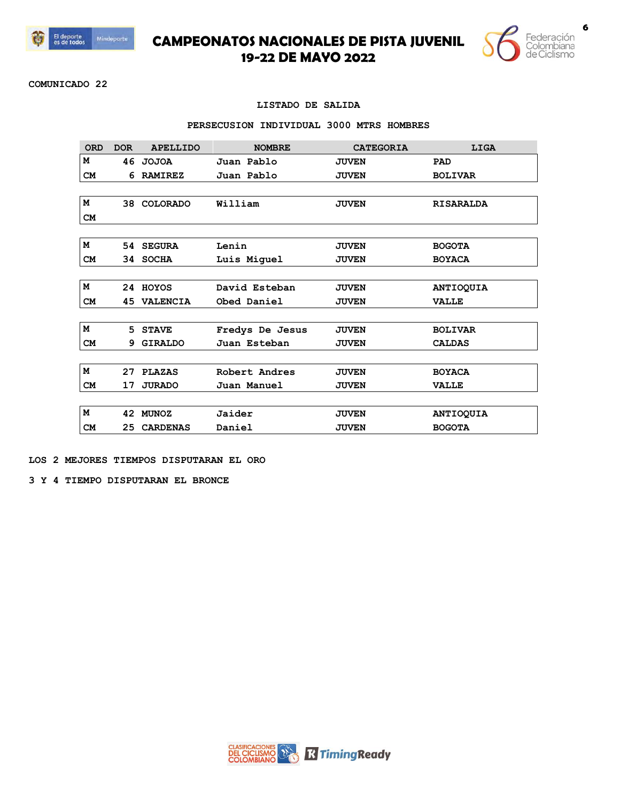



**COMUNICADO 22**

### **LISTADO DE SALIDA**

#### **PERSECUSION INDIVIDUAL 3000 MTRS HOMBRES**

| <b>ORD</b> | <b>DOR</b> | <b>APELLIDO</b> | <b>NOMBRE</b>   | <b>CATEGORIA</b> | LIGA             |
|------------|------------|-----------------|-----------------|------------------|------------------|
| м          |            | 46 JOJOA        | Juan Pablo      | <b>JUVEN</b>     | PAD              |
| <b>CM</b>  | 6          | <b>RAMIREZ</b>  | Juan Pablo      | <b>JUVEN</b>     | <b>BOLIVAR</b>   |
|            |            |                 |                 |                  |                  |
| м          |            | 38 COLORADO     | William         | <b>JUVEN</b>     | <b>RISARALDA</b> |
| <b>CM</b>  |            |                 |                 |                  |                  |
|            |            |                 |                 |                  |                  |
| м          |            | 54 SEGURA       | Lenin           | <b>JUVEN</b>     | <b>BOGOTA</b>    |
| <b>CM</b>  |            | 34 SOCHA        | Luis Miguel     | <b>JUVEN</b>     | <b>BOYACA</b>    |
|            |            |                 |                 |                  |                  |
| м          |            | 24 HOYOS        | David Esteban   | <b>JUVEN</b>     | <b>ANTIOQUIA</b> |
| <b>CM</b>  | 45         | <b>VALENCIA</b> | Obed Daniel     | <b>JUVEN</b>     | <b>VALLE</b>     |
|            |            |                 |                 |                  |                  |
| М          |            | 5 STAVE         | Fredys De Jesus | <b>JUVEN</b>     | <b>BOLIVAR</b>   |
| <b>CM</b>  | 9.         | <b>GIRALDO</b>  | Juan Esteban    | <b>JUVEN</b>     | <b>CALDAS</b>    |
|            |            |                 |                 |                  |                  |
| м          | 27         | <b>PLAZAS</b>   | Robert Andres   | <b>JUVEN</b>     | <b>BOYACA</b>    |
| <b>CM</b>  | 17         | <b>JURADO</b>   | Juan Manuel     | <b>JUVEN</b>     | <b>VALLE</b>     |
|            |            |                 |                 |                  |                  |
| м          |            | 42 MUNOZ        | Jaider          | <b>JUVEN</b>     | <b>ANTIOQUIA</b> |
| <b>CM</b>  | 25.        | <b>CARDENAS</b> | Daniel          | <b>JUVEN</b>     | <b>BOGOTA</b>    |

**LOS 2 MEJORES TIEMPOS DISPUTARAN EL ORO** 

**3 Y 4 TIEMPO DISPUTARAN EL BRONCE**

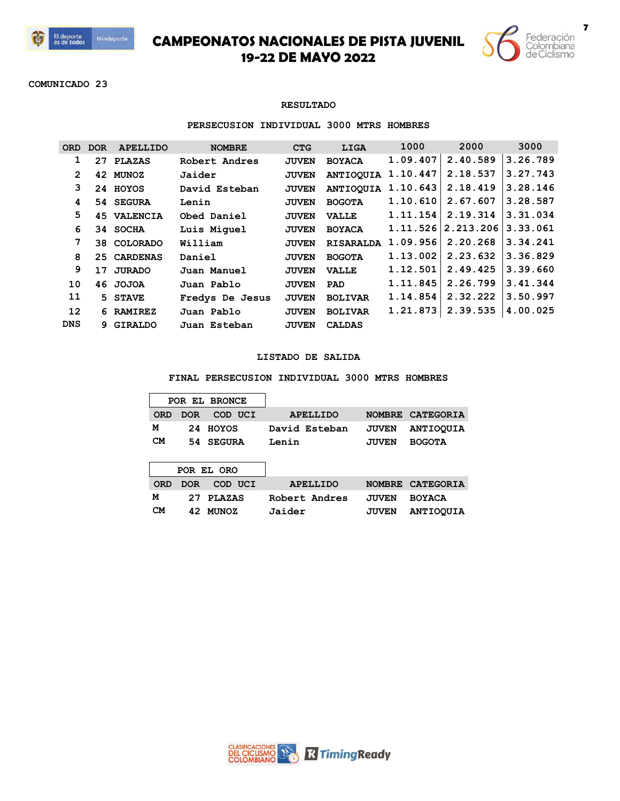



**COMUNICADO 23**

### **RESULTADO**

### **PERSECUSION INDIVIDUAL 3000 MTRS HOMBRES**

| <b>ORD</b>        | <b>DOR</b> | <b>APELLIDO</b>    | <b>NOMBRE</b>   | <b>CTG</b>   | <b>LIGA</b>      | 1000     | 2000      | 3000     |
|-------------------|------------|--------------------|-----------------|--------------|------------------|----------|-----------|----------|
| 1                 | 27         | PLAZAS             | Robert Andres   | <b>JUVEN</b> | <b>BOYACA</b>    | 1.09.407 | 2.40.589  | 3.26.789 |
| 2                 |            | 42 MUNOZ           | Jaider          | <b>JUVEN</b> | <b>ANTIOQUIA</b> | 1.10.447 | 2.18.537  | 3.27.743 |
| 3                 |            | 24 HOYOS           | David Esteban   | <b>JUVEN</b> | <b>ANTIOOUIA</b> | 1.10.643 | 2.18.419  | 3.28.146 |
| 4                 |            | 54 SEGURA          | Lenin           | <b>JUVEN</b> | <b>BOGOTA</b>    | 1.10.610 | 2.67.607  | 3.28.587 |
| 5                 |            | <b>45 VALENCIA</b> | Obed Daniel     | <b>JUVEN</b> | <b>VALLE</b>     | 1.11.154 | 2.19.314  | 3.31.034 |
| 6                 |            | 34 SOCHA           | Luis Miquel     | <b>JUVEN</b> | <b>BOYACA</b>    | 1.11.526 | 2.213.206 | 3.33.061 |
| 7                 |            | 38 COLORADO        | William         | <b>JUVEN</b> | <b>RISARALDA</b> | 1.09.956 | 2.20.268  | 3.34.241 |
| 8                 |            | 25 CARDENAS        | Daniel          | <b>JUVEN</b> | <b>BOGOTA</b>    | 1.13.002 | 2.23.632  | 3.36.829 |
| 9                 | 17         | <b>JURADO</b>      | Juan Manuel     | <b>JUVEN</b> | <b>VALLE</b>     | 1.12.501 | 2.49.425  | 3.39.660 |
| 10                |            | 46 JOJOA           | Juan Pablo      | <b>JUVEN</b> | <b>PAD</b>       | 1.11.845 | 2.26.799  | 3.41.344 |
| 11                |            | 5 STAVE            | Fredys De Jesus | <b>JUVEN</b> | <b>BOLIVAR</b>   | 1.14.854 | 2.32.222  | 3.50.997 |
| $12 \overline{ }$ |            | 6 RAMIREZ          | Juan Pablo      | <b>JUVEN</b> | <b>BOLIVAR</b>   | 1.21.873 | 2.39.535  | 4.00.025 |
| <b>DNS</b>        |            | 9 GIRALDO          | Juan Esteban    | <b>JUVEN</b> | <b>CALDAS</b>    |          |           |          |
|                   |            |                    |                 |              |                  |          |           |          |

## **LISTADO DE SALIDA**

**FINAL PERSECUSION INDIVIDUAL 3000 MTRS HOMBRES**

|            |            | POR EL BRONCE |                 |               |                  |
|------------|------------|---------------|-----------------|---------------|------------------|
| <b>ORD</b> | <b>DOR</b> | COD UCI       | <b>APELLIDO</b> | <b>NOMBRE</b> | <b>CATEGORIA</b> |
| м          | 24         | <b>HOYOS</b>  | David Esteban   | <b>JUVEN</b>  | <b>ANTIOQUIA</b> |
| <b>CM</b>  | 54         | <b>SEGURA</b> | Lenin           | <b>JUVEN</b>  | <b>BOGOTA</b>    |
|            |            |               |                 |               |                  |
|            |            | POR EL ORO    |                 |               |                  |
| <b>ORD</b> | <b>DOR</b> | COD UCI       | <b>APELLIDO</b> | <b>NOMBRE</b> | <b>CATEGORIA</b> |
| м          | 27         | <b>PLAZAS</b> | Robert Andres   | <b>JUVEN</b>  | <b>BOYACA</b>    |
| CМ         | 42         | <b>MUNOZ</b>  | Jaider          | <b>JUVEN</b>  | <b>ANTIOOUIA</b> |

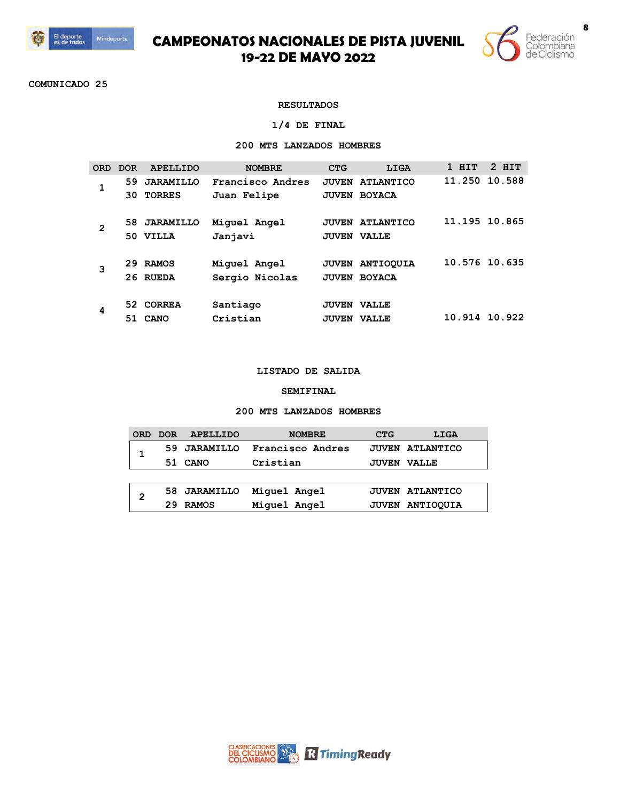



**COMUNICADO 25**

## **RESULTADOS**

### **1/4 DE FINAL**

## **200 MTS LANZADOS HOMBRES**

| ORD | DOR. | <b>APELLIDO</b>  | <b>NOMBRE</b>    | <b>CTG</b>         | LIGA                   | 1 HIT         | $2$ HIT |
|-----|------|------------------|------------------|--------------------|------------------------|---------------|---------|
| 1   | 59   | <b>JARAMILLO</b> | Francisco Andres |                    | <b>JUVEN ATLANTICO</b> | 11.250        | 10.588  |
|     | 30.  | <b>TORRES</b>    | Juan Felipe      | <b>JUVEN</b>       | <b>BOYACA</b>          |               |         |
|     |      |                  |                  |                    |                        |               |         |
| 2   | 58.  | <b>JARAMILLO</b> | Miquel Angel     | <b>JUVEN</b>       | <b>ATLANTICO</b>       | 11.195 10.865 |         |
|     | 50   | <b>VILLA</b>     | Janjavi          | <b>JUVEN VALLE</b> |                        |               |         |
|     |      |                  |                  |                    |                        |               |         |
| 3   | 29   | <b>RAMOS</b>     | Miquel Angel     |                    | <b>JUVEN ANTIOOUIA</b> | 10.576 10.635 |         |
|     |      | 26 RUEDA         | Sergio Nicolas   | <b>JUVEN</b>       | <b>BOYACA</b>          |               |         |
|     |      |                  |                  |                    |                        |               |         |
| 4   |      | 52 CORREA        | Santiago         | <b>JUVEN</b>       | <b>VALLE</b>           |               |         |
|     | 51   | <b>CANO</b>      | Cristian         | <b>JUVEN</b>       | <b>VALLE</b>           | 10.914        | 10.922  |

### **LISTADO DE SALIDA**

### **SEMIFINAL**

### **200 MTS LANZADOS HOMBRES**

| <b>ORD</b> | <b>DOR</b> | APELLIDO     | <b>NOMBRE</b>    | <b>CTG</b>   | LIGA                   |
|------------|------------|--------------|------------------|--------------|------------------------|
|            |            | 59 JARAMILLO | Francisco Andres |              | <b>JUVEN ATLANTICO</b> |
|            | 51         | <b>CANO</b>  | Cristian         | <b>JUVEN</b> | <b>VALLE</b>           |
|            |            |              |                  |              |                        |
| 2          |            | 58 JARAMILLO | Miquel Angel     |              | <b>JUVEN ATLANTICO</b> |
|            | 29         | <b>RAMOS</b> | Miquel Angel     |              | JUVEN ANTIOOUIA        |

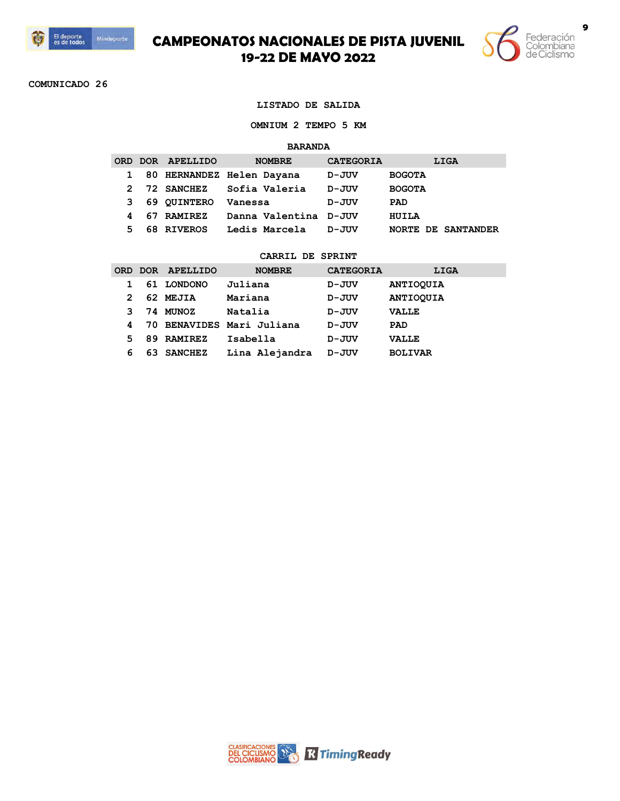



**COMUNICADO 26**

#### **LISTADO DE SALIDA**

**OMNIUM 2 TEMPO 5 KM**

#### **BARANDA**

|              | ORD DOR APELLIDO | <b>NOMBRE</b>             | <b>CATEGORIA</b> | LIGA                      |
|--------------|------------------|---------------------------|------------------|---------------------------|
| $\mathbf{1}$ |                  | 80 HERNANDEZ Helen Dayana | D-JUV            | <b>BOGOTA</b>             |
| 2            | 72 SANCHEZ       | Sofia Valeria             | D-JUV            | <b>BOGOTA</b>             |
| 3.           | 69 QUINTERO      | Vanessa                   | D-JUV            | <b>PAD</b>                |
| 4            | 67 RAMIREZ       | Danna Valentina D-JUV     |                  | HUILA                     |
| 5            | 68 RIVEROS       | Ledis Marcela             | D-JUV            | <b>NORTE DE SANTANDER</b> |

|   |    | ORD DOR APELLIDO | <b>NOMBRE</b>             | <b>CATEGORIA</b> | LIGA             |
|---|----|------------------|---------------------------|------------------|------------------|
|   | 61 | <b>LONDONO</b>   | Juliana                   | D-JUV            | <b>ANTIOQUIA</b> |
| 2 |    | 62 MEJIA         | Mariana                   | D-JUV            | <b>ANTIOQUIA</b> |
| २ |    | 74 MUNOZ         | Natalia                   | D-JUV            | <b>VALLE</b>     |
| 4 |    |                  | 70 BENAVIDES Mari Juliana | D-JUV            | <b>PAD</b>       |
| 5 |    | 89 RAMIREZ       | Isabella                  | D-JUV            | <b>VALLE</b>     |
| 6 | 63 | <b>SANCHEZ</b>   | Lina Alejandra            | D-JUV            | <b>BOLIVAR</b>   |

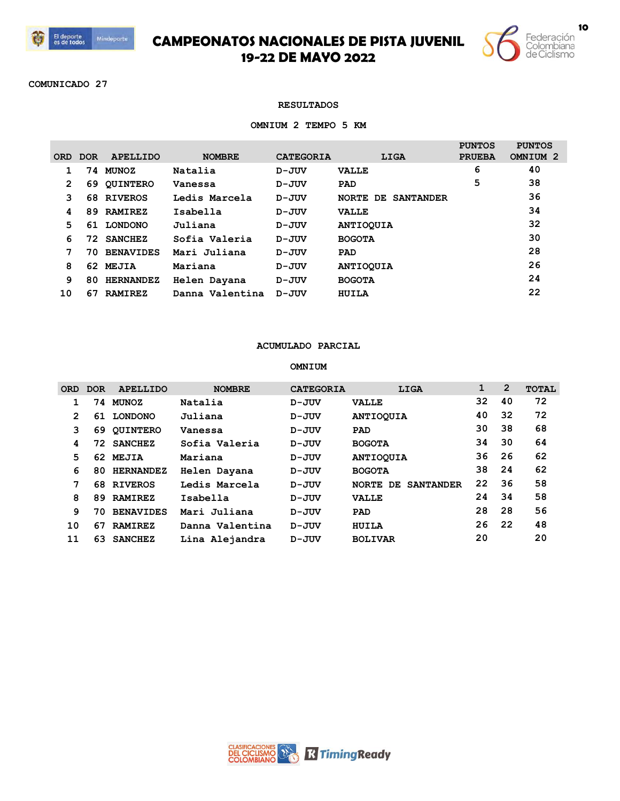



**COMUNICADO 27**

### **RESULTADOS**

#### **OMNIUM 2 TEMPO 5 KM**

|            |            |                  |                 |                  |                                        | <b>PUNTOS</b> | <b>PUNTOS</b>       |
|------------|------------|------------------|-----------------|------------------|----------------------------------------|---------------|---------------------|
| <b>ORD</b> | <b>DOR</b> | <b>APELLIDO</b>  | <b>NOMBRE</b>   | <b>CATEGORIA</b> | LIGA                                   | <b>PRUEBA</b> | OMNIUM <sub>2</sub> |
|            | 74         | <b>MUNOZ</b>     | Natalia         | $D - JUV$        | <b>VALLE</b>                           | 6             | 40                  |
| 2          | 69         | <b>OUINTERO</b>  | Vanessa         | D-JUV            | <b>PAD</b>                             | 5             | 38                  |
| 3          | 68         | <b>RIVEROS</b>   | Ledis Marcela   | $D - JUV$        | <b>NORTE</b><br><b>SANTANDER</b><br>DE |               | 36                  |
| 4          | 89         | <b>RAMIREZ</b>   | Isabella        | $D - JUV$        | <b>VALLE</b>                           |               | 34                  |
| 5          |            | 61 LONDONO       | Juliana         | $D - JUV$        | <b>ANTIOQUIA</b>                       |               | 32                  |
| 6          | 72.        | <b>SANCHEZ</b>   | Sofia Valeria   | D-JUV            | <b>BOGOTA</b>                          |               | 30                  |
| 7          | 70.        | <b>BENAVIDES</b> | Mari Juliana    | $D - JUV$        | <b>PAD</b>                             |               | 28                  |
| 8          |            | 62 MEJIA         | Mariana         | $D - JUV$        | <b>ANTIOQUIA</b>                       |               | 26                  |
| 9          | 80         | <b>HERNANDEZ</b> | Helen Dayana    | $D - JUV$        | <b>BOGOTA</b>                          |               | 24                  |
| 10         | 67         | <b>RAMIREZ</b>   | Danna Valentina | D-JUV            | HUILA                                  |               | 22                  |
|            |            |                  |                 |                  |                                        |               |                     |

## **ACUMULADO PARCIAL**

### **OMNIUM**

| 0RD.           | <b>DOR</b> | <b>APELLIDO</b>  | <b>NOMBRE</b>   | <b>CATEGORIA</b> | LIGA                         | 1   | $\overline{2}$ | <b>TOTAL</b> |
|----------------|------------|------------------|-----------------|------------------|------------------------------|-----|----------------|--------------|
|                | 74         | <b>MUNOZ</b>     | Natalia         | $D - JUV$        | <b>VALLE</b>                 | 32  | 40             | 72           |
| $\overline{2}$ | 61         | <b>LONDONO</b>   | Juliana         | $D - JUV$        | <b>ANTIOQUIA</b>             | 40  | 32             | 72           |
| 3              | 69         | <b>OUINTERO</b>  | Vanessa         | $D - JUV$        | <b>PAD</b>                   | 30  | 38             | 68           |
| 4              | 72.        | <b>SANCHEZ</b>   | Sofia Valeria   | D-JUV            | <b>BOGOTA</b>                | 34  | 30             | 64           |
| 5              | 62         | <b>MEJIA</b>     | Mariana         | $D - JUV$        | <b>ANTIOOUIA</b>             | 36. | 26             | 62           |
| 6              | 80         | <b>HERNANDEZ</b> | Helen Dayana    | D-JUV            | <b>BOGOTA</b>                | 38  | 24             | 62           |
| 7              | 68         | <b>RIVEROS</b>   | Ledis Marcela   | $D - JUV$        | <b>SANTANDER</b><br>NORTE DE | 22  | 36             | 58           |
| 8              | 89         | <b>RAMIREZ</b>   | Isabella        | $D - JUV$        | <b>VALLE</b>                 | 24  | 34             | 58           |
| 9              | 70         | <b>BENAVIDES</b> | Mari Juliana    | $D - JUV$        | <b>PAD</b>                   | 28  | 28             | 56           |
| 10             | 67         | <b>RAMIREZ</b>   | Danna Valentina | $D - JUV$        | HUILA                        | 26  | 22             | 48           |
| 11             | 63         | <b>SANCHEZ</b>   | Lina Alejandra  | $D - JUV$        | <b>BOLIVAR</b>               | 20  |                | 20           |

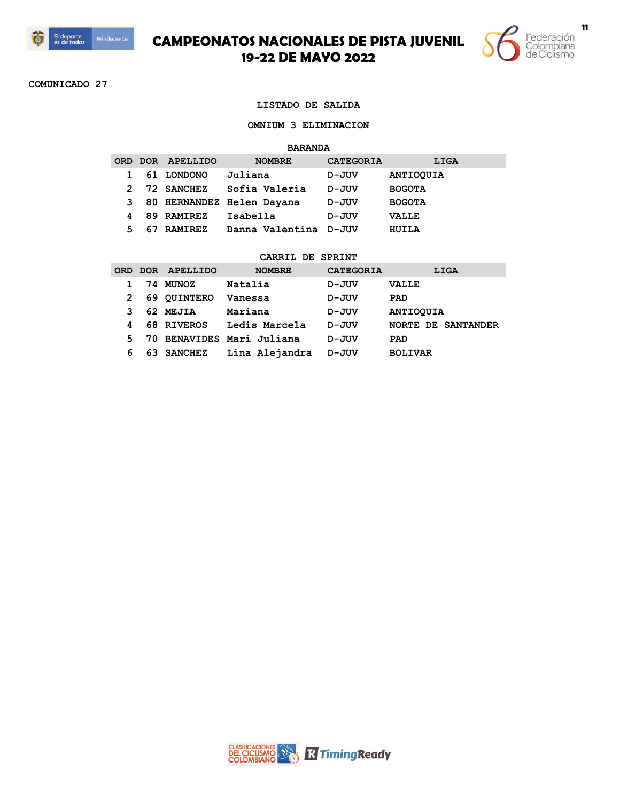



**COMUNICADO 27**

#### **LISTADO DE SALIDA**

#### **OMNIUM 3 ELIMINACION**

#### **BARANDA**

|    |                | <b>NOMBRE</b>                                              | <b>CATEGORIA</b>          | LIGA                  |
|----|----------------|------------------------------------------------------------|---------------------------|-----------------------|
|    |                | Juliana                                                    | D-JUV                     | <b>ANTIOQUIA</b>      |
| 2  |                | Sofia Valeria                                              | D-JUV                     | <b>BOGOTA</b>         |
|    |                |                                                            | D-JUV                     | <b>BOGOTA</b>         |
|    |                | Isabella                                                   | D-JUV                     | <b>VALLE</b>          |
| 67 | <b>RAMIREZ</b> |                                                            |                           | HUILA                 |
|    |                | ORD DOR APELLIDO<br>61 LONDONO<br>72 SANCHEZ<br>89 RAMIREZ | 80 HERNANDEZ Helen Dayana | Danna Valentina D-JUV |

|    |     | ORD DOR APELLIDO | <b>NOMBRE</b>             | <b>CATEGORIA</b> | LIGA                      |
|----|-----|------------------|---------------------------|------------------|---------------------------|
|    |     | 74 MUNOZ         | Natalia                   | D-JUV            | <b>VALLE</b>              |
| 2  |     | 69 QUINTERO      | Vanessa                   | D-JUV            | <b>PAD</b>                |
|    |     | 62 MEJIA         | Mariana                   | D-JUV            | <b>ANTIOOUIA</b>          |
| 4  |     | 68 RIVEROS       | Ledis Marcela             | D-JUV            | <b>NORTE DE SANTANDER</b> |
| 5. |     |                  | 70 BENAVIDES Mari Juliana | D-JUV            | PAD                       |
| 6  | 63. | <b>SANCHEZ</b>   | Lina Alejandra            | D-JUV            | <b>BOLIVAR</b>            |

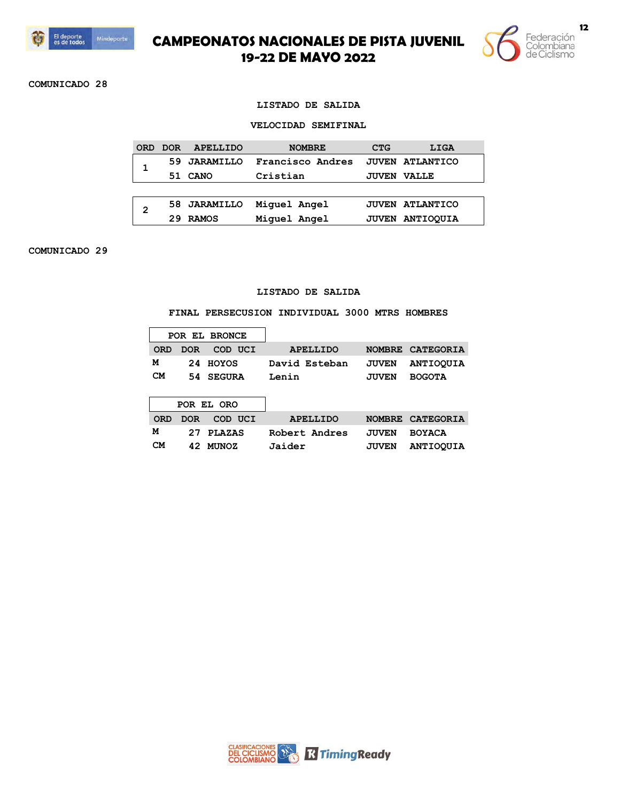



**COMUNICADO 28**

### **LISTADO DE SALIDA**

#### **VELOCIDAD SEMIFINAL**

| <b>ORD</b> | <b>DOR</b> | APELLIDO         | <b>NOMBRE</b>    | <b>CTG</b>   | LIGA                   |
|------------|------------|------------------|------------------|--------------|------------------------|
|            | 59         | <b>JARAMILLO</b> | Francisco Andres |              | <b>JUVEN ATLANTICO</b> |
|            | 51         | CANO             | Cristian         | <b>JUVEN</b> | <b>VALLE</b>           |
|            |            |                  |                  |              |                        |
| 2          |            | 58 JARAMILLO     | Miquel Angel     |              | <b>JUVEN ATLANTICO</b> |
|            | つり         | <b>RAMOS</b>     | Miquel Angel     | <b>JUVEN</b> | <b>ANTIOOUIA</b>       |

**COMUNICADO 29**

### **LISTADO DE SALIDA**

### **FINAL PERSECUSION INDIVIDUAL 3000 MTRS HOMBRES**

|            |            | POR EL BRONCE |                 |               |                  |  |
|------------|------------|---------------|-----------------|---------------|------------------|--|
| <b>ORD</b> | <b>DOR</b> | COD UCI       | <b>APELLIDO</b> | <b>NOMBRE</b> | <b>CATEGORIA</b> |  |
| м          | 24         | HOYOS         | David Esteban   | <b>JUVEN</b>  | <b>ANTIOQUIA</b> |  |
| <b>CM</b>  | 54.        | <b>SEGURA</b> | Lenin           | <b>JUVEN</b>  | <b>BOGOTA</b>    |  |
|            |            |               |                 |               |                  |  |
|            |            | POR EL ORO    |                 |               |                  |  |
| <b>ORD</b> | <b>DOR</b> | COD UCI       | <b>APELLIDO</b> | <b>NOMBRE</b> | <b>CATEGORIA</b> |  |
|            |            |               |                 |               |                  |  |
| м          | 27         | <b>PLAZAS</b> | Robert Andres   | <b>JUVEN</b>  | <b>BOYACA</b>    |  |

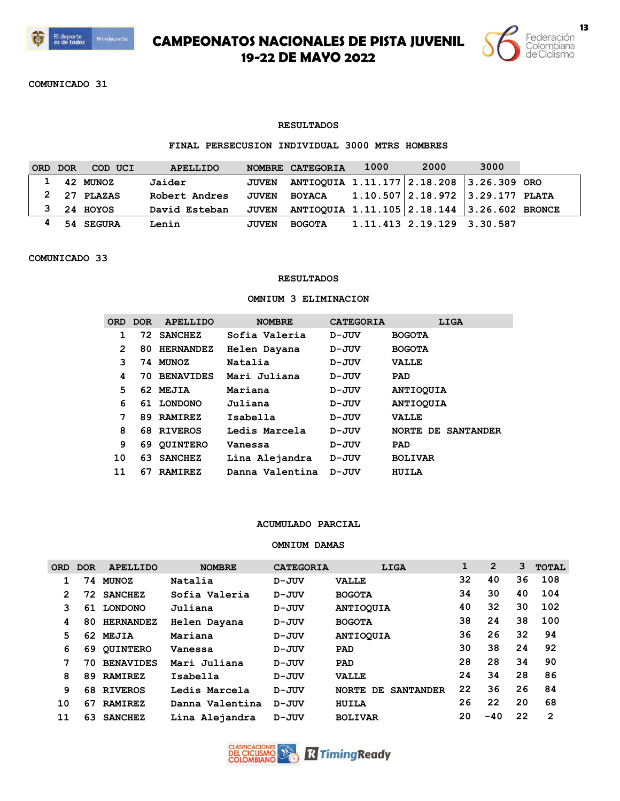



**COMUNICADO 31**

### **RESULTADOS**

## **FINAL PERSECUSION INDIVIDUAL 3000 MTRS HOMBRES**

| <b>ORD</b> | <b>DOR</b> | COD UCI       | <b>APELLIDO</b> | <b>NOMBRE</b> | <b>CATEGORIA</b>                            | 1000 | 2000                       | 3000 |  |
|------------|------------|---------------|-----------------|---------------|---------------------------------------------|------|----------------------------|------|--|
|            |            | 1 42 MUNOZ    | Jaider          | <b>JUVEN</b>  | ANTIOQUIA 1.11.177 2.18.208 3.26.309 ORO    |      |                            |      |  |
|            |            | $2$ 27 PLAZAS | Robert Andres   | <b>JUVEN</b>  | BOYACA 1.10.507 2.18.972 3.29.177 PLATA     |      |                            |      |  |
| 3          |            | 24 HOYOS      | David Esteban   | <b>JUVEN</b>  | ANTIOQUIA 1.11.105 2.18.144 3.26.602 BRONCE |      |                            |      |  |
|            |            | 54 SEGURA     | Lenin           | <b>JUVEN</b>  | <b>BOGOTA</b>                               |      | 1.11.413 2.19.129 3.30.587 |      |  |

### **COMUNICADO 33**

### **RESULTADOS**

### **OMNIUM 3 ELIMINACION**

|    | ORD DOR | APELLIDO         | <b>NOMBRE</b>   | <b>CATEGORIA</b> | LIGA               |
|----|---------|------------------|-----------------|------------------|--------------------|
|    |         | 72 SANCHEZ       | Sofia Valeria   | $D - JUV$        | <b>BOGOTA</b>      |
| 2  | 80.     | <b>HERNANDEZ</b> | Helen Dayana    | D-JUV            | <b>BOGOTA</b>      |
| 3  |         | 74 MUNOZ         | Natalia         | D-JUV            | <b>VALLE</b>       |
| 4  | 70.     | <b>BENAVIDES</b> | Mari Juliana    | $D - JUV$        | PAD                |
| 5. |         | 62 MEJIA         | Mariana         | D-JUV            | <b>ANTIOOUIA</b>   |
| 6  |         | 61 LONDONO       | Juliana         | D-JUV            | <b>ANTIOOUIA</b>   |
| 7  | 89.     | <b>RAMIREZ</b>   | Isabella        | $D - JUV$        | <b>VALLE</b>       |
| 8  |         | 68 RIVEROS       | Ledis Marcela   | $D - JUV$        | NORTE DE SANTANDER |
| 9  | 69      | <b>QUINTERO</b>  | Vanessa         | D-JUV            | PAD                |
| 10 | 63      | <b>SANCHEZ</b>   | Lina Alejandra  | D-JUV            | <b>BOLIVAR</b>     |
| 11 | 67      | <b>RAMIREZ</b>   | Danna Valentina | D-JUV            | HUILA              |

### **ACUMULADO PARCIAL**

## **OMNIUM DAMAS**

| <b>ORD</b> | <b>DOR</b> | <b>APELLIDO</b>  | <b>NOMBRE</b>   | <b>CATEGORIA</b> | LIGA                                    | 1  | $\overline{2}$ | 3  | <b>TOTAL</b> |
|------------|------------|------------------|-----------------|------------------|-----------------------------------------|----|----------------|----|--------------|
| 1          | 74         | <b>MUNOZ</b>     | Natalia         | D-JUV            | <b>VALLE</b>                            | 32 | 40             | 36 | 108          |
| 2          | 72.        | <b>SANCHEZ</b>   | Sofia Valeria   | $D - JUV$        | <b>BOGOTA</b>                           | 34 | 30             | 40 | 104          |
| з          | 61         | <b>LONDONO</b>   | Juliana         | D-JUV            | <b>ANTIOOUIA</b>                        | 40 | 32             | 30 | 102          |
| 4          | 80         | <b>HERNANDEZ</b> | Helen Dayana    | $D - JUV$        | <b>BOGOTA</b>                           | 38 | 24             | 38 | 100          |
| 5          | 62         | <b>MEJIA</b>     | Mariana         | D-JUV            | <b>ANTIOOUIA</b>                        | 36 | 26             | 32 | 94           |
| 6          | 69         | <b>OUINTERO</b>  | Vanessa         | D-JUV            | <b>PAD</b>                              | 30 | 38             | 24 | 92           |
| 7          | 70.        | <b>BENAVIDES</b> | Mari Juliana    | $D - JUV$        | <b>PAD</b>                              | 28 | 28             | 34 | 90           |
| 8          | 89         | <b>RAMIREZ</b>   | Isabella        | $D - JUV$        | <b>VALLE</b>                            | 24 | 34             | 28 | 86           |
| 9          | 68         | <b>RIVEROS</b>   | Ledis Marcela   | $D - JUV$        | <b>SANTANDER</b><br><b>NORTE</b><br>DE. | 22 | 36             | 26 | 84           |
| 10         | 67         | <b>RAMIREZ</b>   | Danna Valentina | $D - JUV$        | HUILA                                   | 26 | 22             | 20 | 68           |
| 11         | 63         | <b>SANCHEZ</b>   | Lina Alejandra  | D-JUV            | <b>BOLIVAR</b>                          | 20 | $-40$          | 22 | 2            |

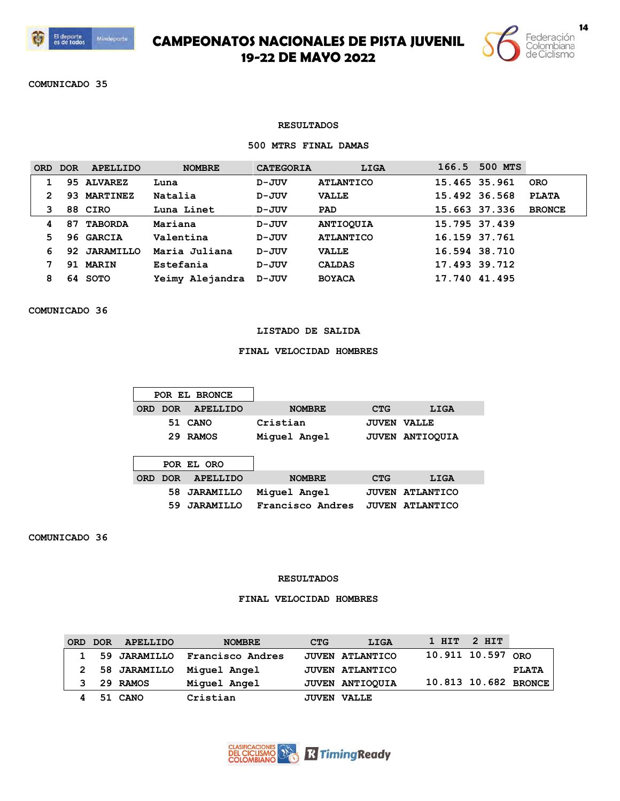



**COMUNICADO 35**

### **RESULTADOS**

## **500 MTRS FINAL DAMAS**

| <b>ORD</b> | <b>DOR</b> | <b>APELLIDO</b>  | <b>NOMBRE</b>   | <b>CATEGORIA</b> | LIGA             | 166.5 | 500 MTS       |               |
|------------|------------|------------------|-----------------|------------------|------------------|-------|---------------|---------------|
|            |            | 95 ALVAREZ       | Luna            | $D - JUV$        | <b>ATLANTICO</b> |       | 15.465 35.961 | <b>ORO</b>    |
|            | 93         | <b>MARTINEZ</b>  | Natalia         | $D - JUV$        | <b>VALLE</b>     |       | 15.492 36.568 | <b>PLATA</b>  |
| 3          |            | 88 CIRO          | Luna Linet      | D-JUV            | <b>PAD</b>       |       | 15.663 37.336 | <b>BRONCE</b> |
| 4          | 87         | <b>TABORDA</b>   | Mariana         | D-JUV            | <b>ANTIOOUIA</b> |       | 15.795 37.439 |               |
| 5.         |            | 96 GARCIA        | Valentina       | $D - JUV$        | <b>ATLANTICO</b> |       | 16.159 37.761 |               |
| 6          | 92         | <b>JARAMILLO</b> | Maria Juliana   | $D - JUV$        | <b>VALLE</b>     |       | 16.594 38.710 |               |
|            | 91         | <b>MARIN</b>     | Estefania       | $D - JUV$        | <b>CALDAS</b>    |       | 17.493 39.712 |               |
| 8          | 64.        | <b>SOTO</b>      | Yeimy Alejandra | D-JUV            | <b>BOYACA</b>    |       | 17.740 41.495 |               |

**COMUNICADO 36**

### **LISTADO DE SALIDA**

## **FINAL VELOCIDAD HOMBRES**

|            |            | POR EL BRONCE    |                  |              |                  |
|------------|------------|------------------|------------------|--------------|------------------|
| <b>ORD</b> | DOR.       | <b>APELLIDO</b>  | <b>NOMBRE</b>    | <b>CTG</b>   | LIGA             |
|            | 51         | CANO             | Cristian         | <b>JUVEN</b> | <b>VALLE</b>     |
|            | 29         | <b>RAMOS</b>     | Miquel Angel     | <b>JUVEN</b> | <b>ANTIOOUIA</b> |
|            |            |                  |                  |              |                  |
|            |            | POR EL ORO       |                  |              |                  |
| <b>ORD</b> | <b>DOR</b> | <b>APELLIDO</b>  | <b>NOMBRE</b>    | <b>CTG</b>   | LIGA             |
|            | 58         | <b>JARAMILLO</b> | Miquel Angel     | <b>JUVEN</b> | <b>ATLANTICO</b> |
|            | 59         | <b>JARAMILLO</b> | Francisco Andres | <b>JUVEN</b> | <b>ATLANTICO</b> |

**COMUNICADO 36**

### **RESULTADOS**

## **FINAL VELOCIDAD HOMBRES**

| <b>ORD</b>   | <b>DOR</b> | APELLIDO       | <b>NOMBRE</b>    | <b>CTG</b> | LIGA                   | $1$ HIT $2$ HIT   |                      |
|--------------|------------|----------------|------------------|------------|------------------------|-------------------|----------------------|
| $\mathbf{1}$ |            | 59 JARAMILLO   | Francisco Andres |            | <b>JUVEN ATLANTICO</b> | 10.911 10.597 ORO |                      |
|              |            | 2 58 JARAMILLO | Miquel Angel     |            | <b>JUVEN ATLANTICO</b> |                   | <b>PLATA</b>         |
|              |            | 29 RAMOS       | Miquel Angel     |            | JUVEN ANTIOQUIA        |                   | 10.813 10.682 BRONCE |
|              |            | 51 CANO        | Cristian         |            | <b>JUVEN VALLE</b>     |                   |                      |

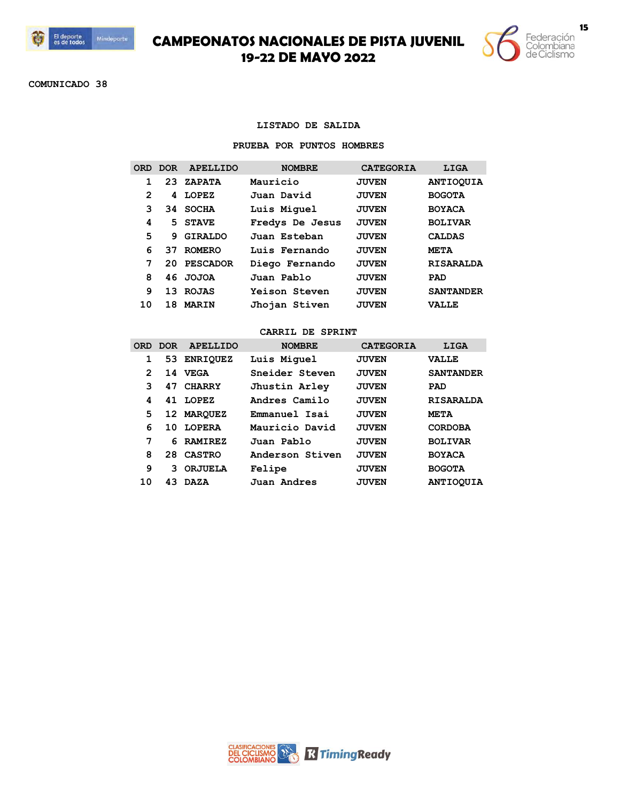



**COMUNICADO 38**

### **LISTADO DE SALIDA**

## **PRUEBA POR PUNTOS HOMBRES**

|                | ORD DOR | <b>APELLIDO</b> | <b>NOMBRE</b>   | <b>CATEGORIA</b> | LIGA             |
|----------------|---------|-----------------|-----------------|------------------|------------------|
|                | 23      | <b>ZAPATA</b>   | Mauricio        | <b>JUVEN</b>     | <b>ANTIOOUIA</b> |
| $\overline{2}$ | 4       | LOPEZ           | Juan David      | <b>JUVEN</b>     | <b>BOGOTA</b>    |
| २              | 34.     | <b>SOCHA</b>    | Luis Miquel     | <b>JUVEN</b>     | <b>BOYACA</b>    |
| 4              | 5       | <b>STAVE</b>    | Fredys De Jesus | <b>JUVEN</b>     | <b>BOLIVAR</b>   |
| 5              | 9       | <b>GIRALDO</b>  | Juan Esteban    | <b>JUVEN</b>     | <b>CALDAS</b>    |
| 6              | 37      | <b>ROMERO</b>   | Luis Fernando   | <b>JUVEN</b>     | <b>META</b>      |
| 7              | 20      | <b>PESCADOR</b> | Diego Fernando  | <b>JUVEN</b>     | <b>RISARALDA</b> |
| 8              |         | 46 JOJOA        | Juan Pablo      | <b>JUVEN</b>     | PAD              |
| 9              | 13      | <b>ROJAS</b>    | Yeison Steven   | <b>JUVEN</b>     | <b>SANTANDER</b> |
| 10             | 18      | <b>MARIN</b>    | Jhojan Stiven   | <b>JUVEN</b>     | <b>VALLE</b>     |

|    | ORD DOR | <b>APELLIDO</b> | <b>NOMBRE</b>   | <b>CATEGORIA</b> | LIGA             |
|----|---------|-----------------|-----------------|------------------|------------------|
| 1  |         | 53 ENRIQUEZ     | Luis Miquel     | <b>JUVEN</b>     | <b>VALLE</b>     |
| 2  | 14      | <b>VEGA</b>     | Sneider Steven  | <b>JUVEN</b>     | <b>SANTANDER</b> |
| 3  | 47      | <b>CHARRY</b>   | Jhustin Arley   | <b>JUVEN</b>     | PAD              |
| 4  | 41.     | LOPEZ           | Andres Camilo   | <b>JUVEN</b>     | <b>RISARALDA</b> |
| 5  |         | 12 MARQUEZ      | Emmanuel Isai   | <b>JUVEN</b>     | META             |
| 6  | 10      | <b>LOPERA</b>   | Mauricio David  | <b>JUVEN</b>     | <b>CORDOBA</b>   |
| 7  |         | 6 RAMIREZ       | Juan Pablo      | <b>JUVEN</b>     | <b>BOLIVAR</b>   |
| 8  | 28      | <b>CASTRO</b>   | Anderson Stiven | <b>JUVEN</b>     | <b>BOYACA</b>    |
| 9  | २       | <b>ORJUELA</b>  | Felipe          | <b>JUVEN</b>     | <b>BOGOTA</b>    |
| 10 | 43      | <b>DAZA</b>     | Juan Andres     | <b>JUVEN</b>     | <b>ANTIOOUIA</b> |

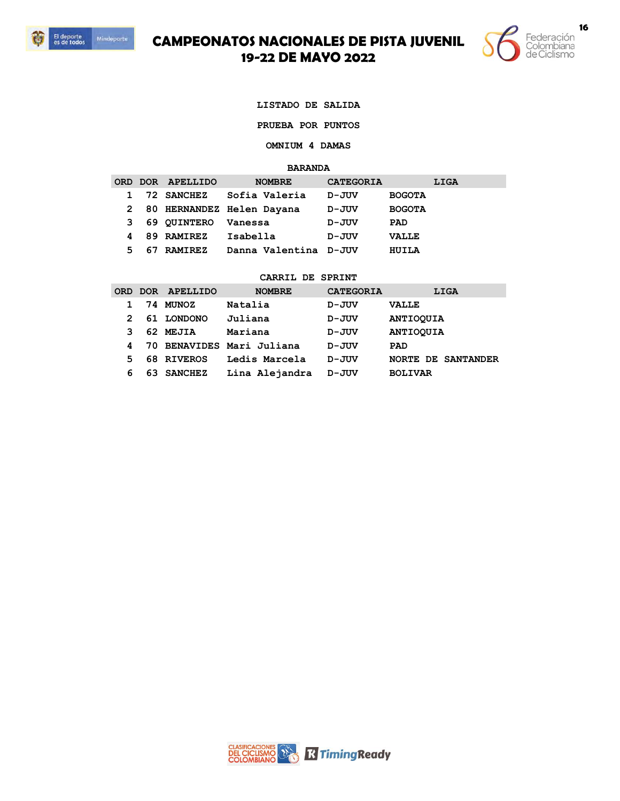



**LISTADO DE SALIDA**

**PRUEBA POR PUNTOS** 

**OMNIUM 4 DAMAS** 

**BARANDA**

|    |    | ORD DOR APELLIDO | <b>NOMBRE</b>               | <b>CATEGORIA</b> | LIGA          |
|----|----|------------------|-----------------------------|------------------|---------------|
|    |    | 72 SANCHEZ       | Sofia Valeria               | D-JUV            | <b>BOGOTA</b> |
|    |    |                  | 2 80 HERNANDEZ Helen Dayana | D-JUV            | <b>BOGOTA</b> |
| З. |    | 69 QUINTERO      | Vanessa                     | D-JUV            | <b>PAD</b>    |
| 4  |    | 89 RAMIREZ       | Isabella                    | D-JUV            | <b>VALLE</b>  |
| 5. | 67 | <b>RAMIREZ</b>   | Danna Valentina D-JUV       |                  | HUILA         |

| <b>ORD</b> | DOR | APELLIDO       | <b>NOMBRE</b>             | <b>CATEGORIA</b> | LIGA                      |
|------------|-----|----------------|---------------------------|------------------|---------------------------|
|            |     | 74 MUNOZ       | Natalia                   | D-JUV            | <b>VALLE</b>              |
| 2          |     | 61 LONDONO     | Juliana                   | D-JUV            | <b>ANTIOQUIA</b>          |
| 3          |     | 62 MEJIA       | Mariana                   | D-JUV            | <b>ANTIOQUIA</b>          |
| 4          |     |                | 70 BENAVIDES Mari Juliana | D-JUV            | PAD                       |
| 5          |     | 68 RIVEROS     | Ledis Marcela             | D-JUV            | <b>NORTE DE SANTANDER</b> |
| 6          | 63. | <b>SANCHEZ</b> | Lina Alejandra            | D-JUV            | <b>BOLIVAR</b>            |

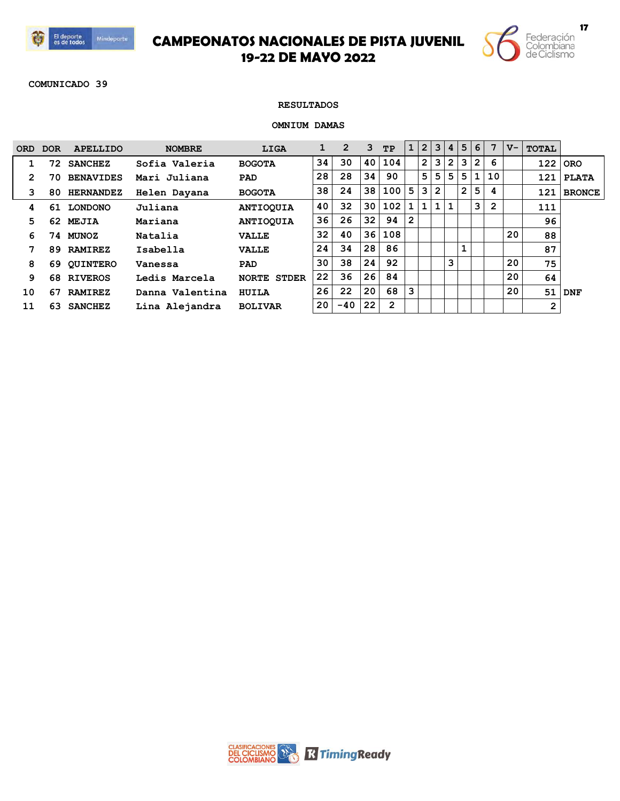



**COMUNICADO 39**

### **RESULTADOS**

### **OMNIUM DAMAS**

| <b>ORD</b> | <b>DOR</b> | <b>APELLIDO</b>  | <b>NOMBRE</b>   | LIGA               |    | 2     | 3  | TP           | $\mathbf 1$  |                | 2 3            | 4              | 5 <sub>1</sub> | 6              | 7  | $V -$ | <b>TOTAL</b> |               |
|------------|------------|------------------|-----------------|--------------------|----|-------|----|--------------|--------------|----------------|----------------|----------------|----------------|----------------|----|-------|--------------|---------------|
|            | 72.        | <b>SANCHEZ</b>   | Sofia Valeria   | <b>BOGOTA</b>      | 34 | 30    | 40 | 104          |              | $\overline{2}$ | 3              | $\overline{2}$ | 3              | $\overline{2}$ | 6  |       | 122          | <b>ORO</b>    |
| 2          | 70.        | <b>BENAVIDES</b> | Mari Juliana    | <b>PAD</b>         | 28 | 28    | 34 | 90           |              | 5              | 5              | 5              | 5.             | 1              | 10 |       | 121          | <b>PLATA</b>  |
| з          | 80.        | <b>HERNANDEZ</b> | Helen Dayana    | <b>BOGOTA</b>      | 38 | 24    | 38 | 100          | 5            | 3              | $\overline{2}$ |                | $\overline{2}$ | 5              | 4  |       | 121          | <b>BRONCE</b> |
| 4          | 61         | <b>LONDONO</b>   | Juliana         | <b>ANTIOQUIA</b>   | 40 | 32    | 30 | 102          | 1            | 1.             |                | $\mathbf{1}$   |                | 3              | 2  |       | 111          |               |
| 5          | 62.        | <b>MEJIA</b>     | Mariana         | <b>ANTIOQUIA</b>   | 36 | 26    | 32 | 94           | $\mathbf{2}$ |                |                |                |                |                |    |       | 96           |               |
| 6          |            | 74 MUNOZ         | Natalia         | <b>VALLE</b>       | 32 | 40    | 36 | 108          |              |                |                |                |                |                |    | 20    | 88           |               |
| 7          | 89.        | <b>RAMIREZ</b>   | Isabella        | <b>VALLE</b>       | 24 | 34    | 28 | 86           |              |                |                |                |                |                |    |       | 87           |               |
| 8          | 69.        | <b>OUINTERO</b>  | Vanessa         | PAD                | 30 | 38    | 24 | 92           |              |                |                | 3              |                |                |    | 20    | 75           |               |
| 9          | 68.        | <b>RIVEROS</b>   | Ledis Marcela   | <b>NORTE STDER</b> | 22 | 36    | 26 | 84           |              |                |                |                |                |                |    | 20    | 64           |               |
| 10         | 67         | <b>RAMIREZ</b>   | Danna Valentina | <b>HUILA</b>       | 26 | 22    | 20 | 68           | 3            |                |                |                |                |                |    | 20    | 51           | <b>DNF</b>    |
| 11         | 63.        | <b>SANCHEZ</b>   | Lina Alejandra  | <b>BOLIVAR</b>     | 20 | $-40$ | 22 | $\mathbf{2}$ |              |                |                |                |                |                |    |       | 2            |               |